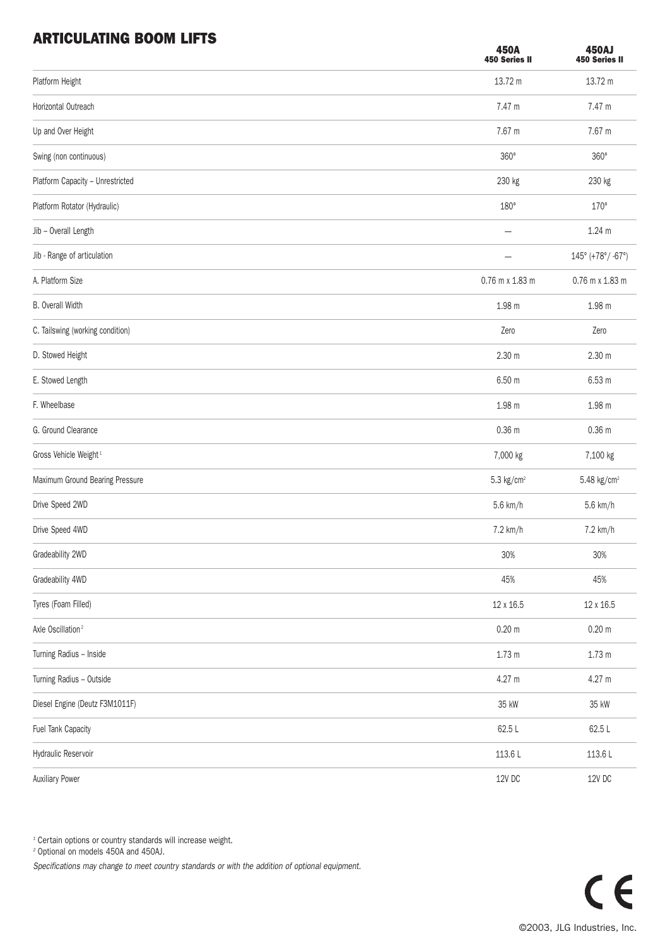## ADTICULATING BOOM LIFTS

| ANTIVULATING DUVIN LIFTJ          | <b>450A</b><br>450 Series II | <b>450AJ</b><br><b>450 Series II</b> |
|-----------------------------------|------------------------------|--------------------------------------|
| Platform Height                   | 13.72 m                      | 13.72 m                              |
| Horizontal Outreach               | 7.47 m                       | 7.47 m                               |
| Up and Over Height                | 7.67 m                       | 7.67 m                               |
| Swing (non continuous)            | 360°                         | $360^\circ$                          |
| Platform Capacity - Unrestricted  | 230 kg                       | 230 kg                               |
| Platform Rotator (Hydraulic)      | $180^\circ$                  | $170^\circ$                          |
| Jib - Overall Length              | $\qquad \qquad -$            | 1.24 <sub>m</sub>                    |
| Jib - Range of articulation       |                              | 145° (+78°/ -67°)                    |
| A. Platform Size                  | 0.76 m x 1.83 m              | 0.76 m x 1.83 m                      |
| <b>B.</b> Overall Width           | 1.98 m                       | 1.98 m                               |
| C. Tailswing (working condition)  | Zero                         | Zero                                 |
| D. Stowed Height                  | 2.30 <sub>m</sub>            | 2.30 <sub>m</sub>                    |
| E. Stowed Length                  | 6.50 m                       | 6.53 m                               |
| F. Wheelbase                      | 1.98 m                       | 1.98 m                               |
| G. Ground Clearance               | 0.36 <sub>m</sub>            | 0.36 <sub>m</sub>                    |
| Gross Vehicle Weight <sup>1</sup> | 7,000 kg                     | 7,100 kg                             |
| Maximum Ground Bearing Pressure   | $5.3$ kg/cm <sup>2</sup>     | $5.48$ kg/cm <sup>2</sup>            |
| Drive Speed 2WD                   | 5.6 km/h                     | 5.6 km/h                             |
| Drive Speed 4WD                   | 7.2 km/h                     | 7.2 km/h                             |
| Gradeability 2WD                  | 30%                          | 30%                                  |
| Gradeability 4WD                  | 45%                          | 45%                                  |
| Tyres (Foam Filled)               | 12 x 16.5                    | 12 x 16.5                            |
| Axle Oscillation <sup>2</sup>     | $0.20 \text{ m}$             | $0.20 \text{ m}$                     |
| Turning Radius - Inside           | 1.73 <sub>m</sub>            | 1.73m                                |
| Turning Radius - Outside          | 4.27 m                       | 4.27 m                               |
| Diesel Engine (Deutz F3M1011F)    | 35 kW                        | 35 kW                                |
| Fuel Tank Capacity                | 62.5L                        | 62.5L                                |
| Hydraulic Reservoir               | 113.6L                       | 113.6L                               |
| <b>Auxiliary Power</b>            | $12V$ DC $\,$                | 12V DC                               |

 $^{\text{1}}$  Certain options or country standards will increase weight.

<sup>2</sup> Optional on models 450A and 450AJ.

Specifications may change to meet country standards or with the addition of optional equipment.